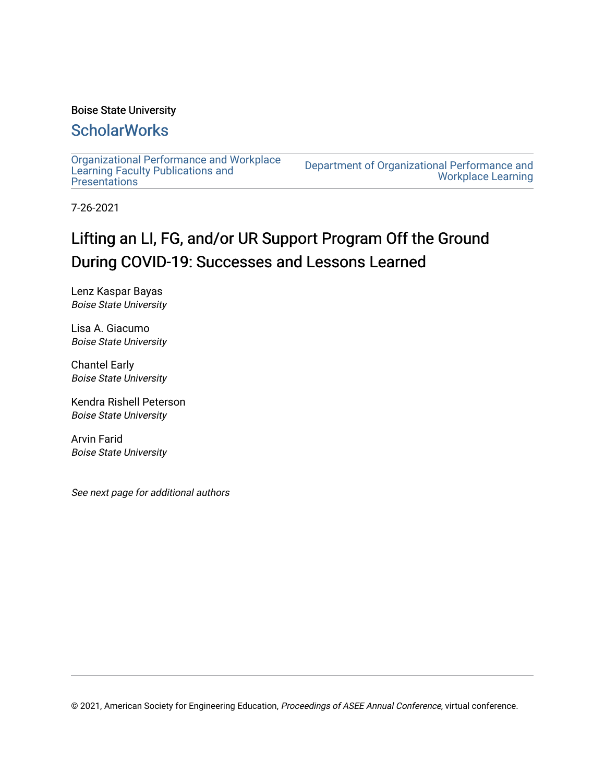# Boise State University

# **ScholarWorks**

[Organizational Performance and Workplace](https://scholarworks.boisestate.edu/ipt_facpubs) [Learning Faculty Publications and](https://scholarworks.boisestate.edu/ipt_facpubs)  **Presentations** 

[Department of Organizational Performance and](https://scholarworks.boisestate.edu/opwl)  [Workplace Learning](https://scholarworks.boisestate.edu/opwl) 

7-26-2021

# Lifting an LI, FG, and/or UR Support Program Off the Ground During COVID-19: Successes and Lessons Learned

Lenz Kaspar Bayas Boise State University

Lisa A. Giacumo Boise State University

Chantel Early Boise State University

Kendra Rishell Peterson Boise State University

Arvin Farid Boise State University

See next page for additional authors

© 2021, American Society for Engineering Education, Proceedings of ASEE Annual Conference, virtual conference.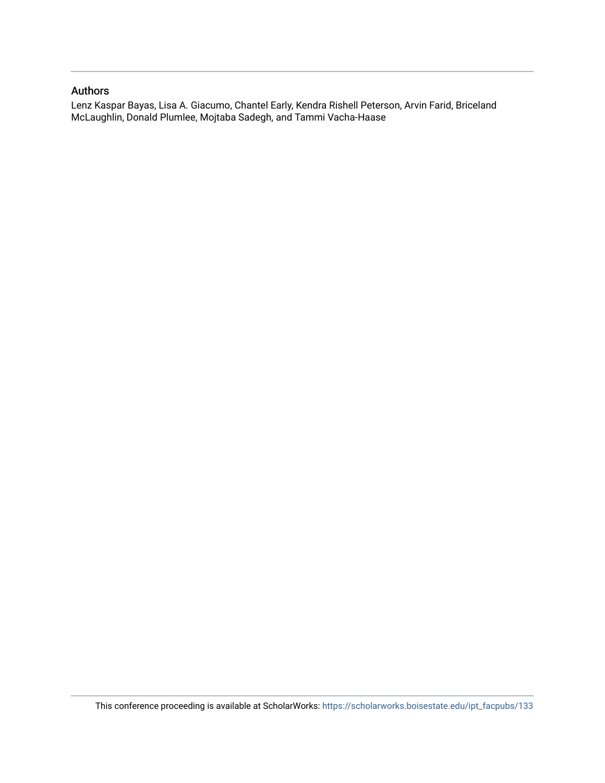## Authors

Lenz Kaspar Bayas, Lisa A. Giacumo, Chantel Early, Kendra Rishell Peterson, Arvin Farid, Briceland McLaughlin, Donald Plumlee, Mojtaba Sadegh, and Tammi Vacha-Haase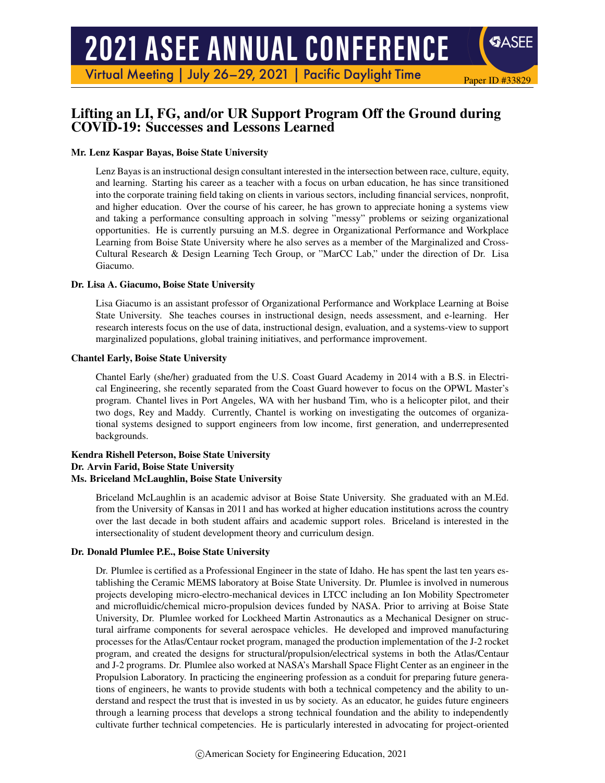# **2021 ASEE ANNUAL CONFERENCE**

Virtual Meeting | July 26-29, 2021 | Pacific Daylight Time

# Lifting an LI, FG, and/or UR Support Program Off the Ground during COVID-19: Successes and Lessons Learned

Paper ID #33829

**SASEE** 

## Mr. Lenz Kaspar Bayas, Boise State University

Lenz Bayas is an instructional design consultant interested in the intersection between race, culture, equity, and learning. Starting his career as a teacher with a focus on urban education, he has since transitioned into the corporate training field taking on clients in various sectors, including financial services, nonprofit, and higher education. Over the course of his career, he has grown to appreciate honing a systems view and taking a performance consulting approach in solving "messy" problems or seizing organizational opportunities. He is currently pursuing an M.S. degree in Organizational Performance and Workplace Learning from Boise State University where he also serves as a member of the Marginalized and Cross-Cultural Research & Design Learning Tech Group, or "MarCC Lab," under the direction of Dr. Lisa Giacumo.

## Dr. Lisa A. Giacumo, Boise State University

Lisa Giacumo is an assistant professor of Organizational Performance and Workplace Learning at Boise State University. She teaches courses in instructional design, needs assessment, and e-learning. Her research interests focus on the use of data, instructional design, evaluation, and a systems-view to support marginalized populations, global training initiatives, and performance improvement.

#### Chantel Early, Boise State University

Chantel Early (she/her) graduated from the U.S. Coast Guard Academy in 2014 with a B.S. in Electrical Engineering, she recently separated from the Coast Guard however to focus on the OPWL Master's program. Chantel lives in Port Angeles, WA with her husband Tim, who is a helicopter pilot, and their two dogs, Rey and Maddy. Currently, Chantel is working on investigating the outcomes of organizational systems designed to support engineers from low income, first generation, and underrepresented backgrounds.

#### Kendra Rishell Peterson, Boise State University Dr. Arvin Farid, Boise State University Ms. Briceland McLaughlin, Boise State University

Briceland McLaughlin is an academic advisor at Boise State University. She graduated with an M.Ed. from the University of Kansas in 2011 and has worked at higher education institutions across the country over the last decade in both student affairs and academic support roles. Briceland is interested in the intersectionality of student development theory and curriculum design.

## Dr. Donald Plumlee P.E., Boise State University

Dr. Plumlee is certified as a Professional Engineer in the state of Idaho. He has spent the last ten years establishing the Ceramic MEMS laboratory at Boise State University. Dr. Plumlee is involved in numerous projects developing micro-electro-mechanical devices in LTCC including an Ion Mobility Spectrometer and microfluidic/chemical micro-propulsion devices funded by NASA. Prior to arriving at Boise State University, Dr. Plumlee worked for Lockheed Martin Astronautics as a Mechanical Designer on structural airframe components for several aerospace vehicles. He developed and improved manufacturing processes for the Atlas/Centaur rocket program, managed the production implementation of the J-2 rocket program, and created the designs for structural/propulsion/electrical systems in both the Atlas/Centaur and J-2 programs. Dr. Plumlee also worked at NASA's Marshall Space Flight Center as an engineer in the Propulsion Laboratory. In practicing the engineering profession as a conduit for preparing future generations of engineers, he wants to provide students with both a technical competency and the ability to understand and respect the trust that is invested in us by society. As an educator, he guides future engineers through a learning process that develops a strong technical foundation and the ability to independently cultivate further technical competencies. He is particularly interested in advocating for project-oriented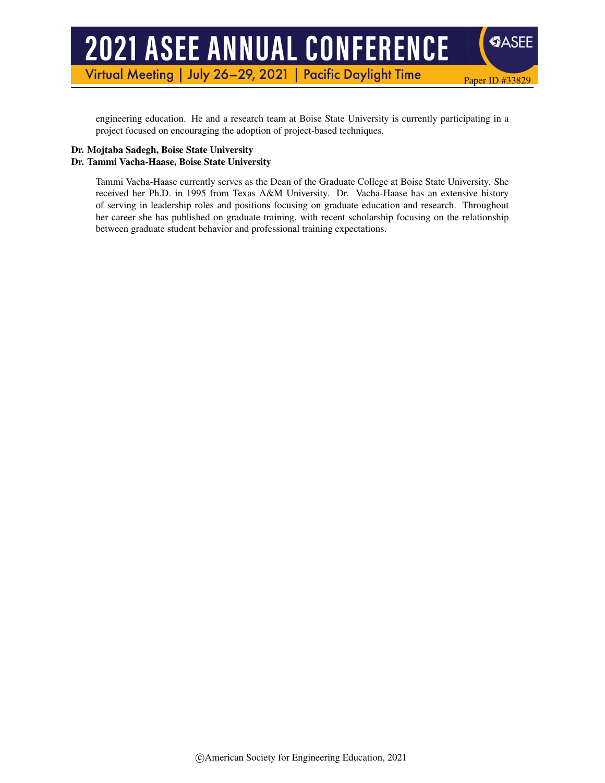# **2021 ASEE ANNUAL CONFERENCE**

Virtual Meeting | July 26-29, 2021 | Pacific Daylight Time

engineering education. He and a research team at Boise State University is currently participating in a project focused on encouraging the adoption of project-based techniques.

Paper ID #33829

**SASEE** 

## Dr. Mojtaba Sadegh, Boise State University Dr. Tammi Vacha-Haase, Boise State University

Tammi Vacha-Haase currently serves as the Dean of the Graduate College at Boise State University. She received her Ph.D. in 1995 from Texas A&M University. Dr. Vacha-Haase has an extensive history of serving in leadership roles and positions focusing on graduate education and research. Throughout her career she has published on graduate training, with recent scholarship focusing on the relationship between graduate student behavior and professional training expectations.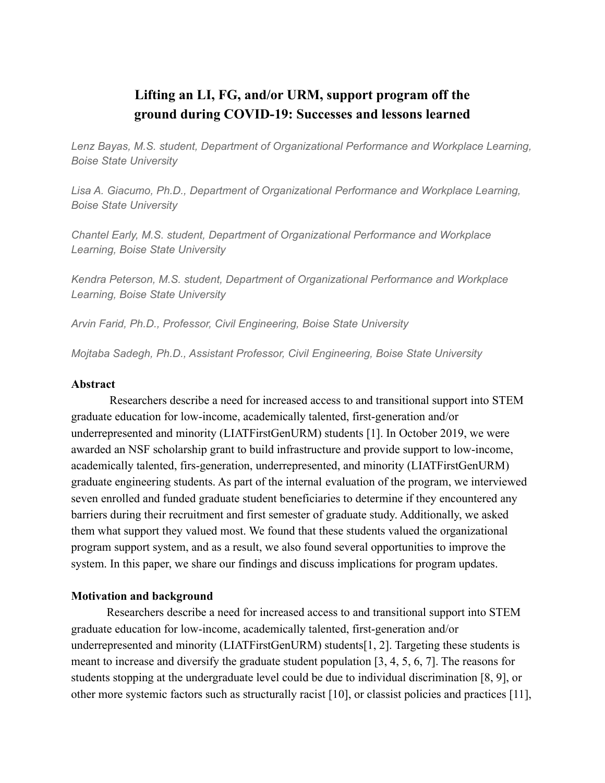# **Lifting an LI, FG, and/or URM, support program off the ground during COVID-19: Successes and lessons learned**

*Lenz Bayas, M.S. student, Department of Organizational Performance and Workplace Learning, Boise State University*

*Lisa A. Giacumo, Ph.D., Department of Organizational Performance and Workplace Learning, Boise State University*

*Chantel Early, M.S. student, Department of Organizational Performance and Workplace Learning, Boise State University*

*Kendra Peterson, M.S. student, Department of Organizational Performance and Workplace Learning, Boise State University*

*Arvin Farid, Ph.D., Professor, Civil Engineering, Boise State University*

*Mojtaba Sadegh, Ph.D., Assistant Professor, Civil Engineering, Boise State University*

# **Abstract**

Researchers describe a need for increased access to and transitional support into STEM graduate education for low-income, academically talented, first-generation and/or underrepresented and minority (LIATFirstGenURM) students [1]. In October 2019, we were awarded an NSF scholarship grant to build infrastructure and provide support to low-income, academically talented, firs-generation, underrepresented, and minority (LIATFirstGenURM) graduate engineering students. As part of the internal evaluation of the program, we interviewed seven enrolled and funded graduate student beneficiaries to determine if they encountered any barriers during their recruitment and first semester of graduate study. Additionally, we asked them what support they valued most. We found that these students valued the organizational program support system, and as a result, we also found several opportunities to improve the system. In this paper, we share our findings and discuss implications for program updates.

# **Motivation and background**

Researchers describe a need for increased access to and transitional support into STEM graduate education for low-income, academically talented, first-generation and/or underrepresented and minority (LIATFirstGenURM) students[1, 2]. Targeting these students is meant to increase and diversify the graduate student population [3, 4, 5, 6, 7]. The reasons for students stopping at the undergraduate level could be due to individual discrimination [8, 9], or other more systemic factors such as structurally racist [10], or classist policies and practices [11],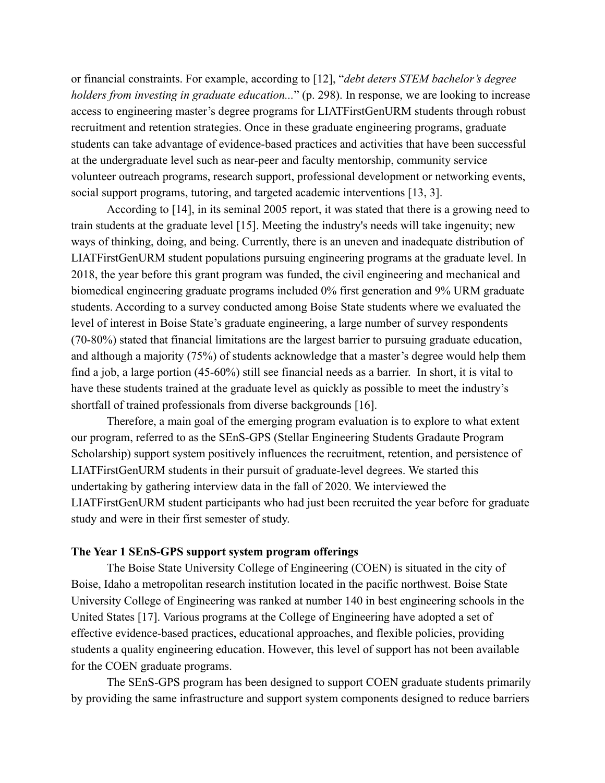or financial constraints. For example, according to [12], "*debt deters STEM bachelor's degree holders from investing in graduate education...*" (p. 298). In response, we are looking to increase access to engineering master's degree programs for LIATFirstGenURM students through robust recruitment and retention strategies. Once in these graduate engineering programs, graduate students can take advantage of evidence-based practices and activities that have been successful at the undergraduate level such as near-peer and faculty mentorship, community service volunteer outreach programs, research support, professional development or networking events, social support programs, tutoring, and targeted academic interventions [13, 3].

According to [14], in its seminal 2005 report, it was stated that there is a growing need to train students at the graduate level [15]. Meeting the industry's needs will take ingenuity; new ways of thinking, doing, and being. Currently, there is an uneven and inadequate distribution of LIATFirstGenURM student populations pursuing engineering programs at the graduate level. In 2018, the year before this grant program was funded, the civil engineering and mechanical and biomedical engineering graduate programs included 0% first generation and 9% URM graduate students. According to a survey conducted among Boise State students where we evaluated the level of interest in Boise State's graduate engineering, a large number of survey respondents (70-80%) stated that financial limitations are the largest barrier to pursuing graduate education, and although a majority (75%) of students acknowledge that a master's degree would help them find a job, a large portion (45-60%) still see financial needs as a barrier. In short, it is vital to have these students trained at the graduate level as quickly as possible to meet the industry's shortfall of trained professionals from diverse backgrounds [16].

Therefore, a main goal of the emerging program evaluation is to explore to what extent our program, referred to as the SEnS-GPS (Stellar Engineering Students Gradaute Program Scholarship) support system positively influences the recruitment, retention, and persistence of LIATFirstGenURM students in their pursuit of graduate-level degrees. We started this undertaking by gathering interview data in the fall of 2020. We interviewed the LIATFirstGenURM student participants who had just been recruited the year before for graduate study and were in their first semester of study.

## **The Year 1 SEnS-GPS support system program offerings**

The Boise State University College of Engineering (COEN) is situated in the city of Boise, Idaho a metropolitan research institution located in the pacific northwest. Boise State University College of Engineering was ranked at number 140 in best engineering schools in the United States [17]. Various programs at the College of Engineering have adopted a set of effective evidence-based practices, educational approaches, and flexible policies, providing students a quality engineering education. However, this level of support has not been available for the COEN graduate programs.

The SEnS-GPS program has been designed to support COEN graduate students primarily by providing the same infrastructure and support system components designed to reduce barriers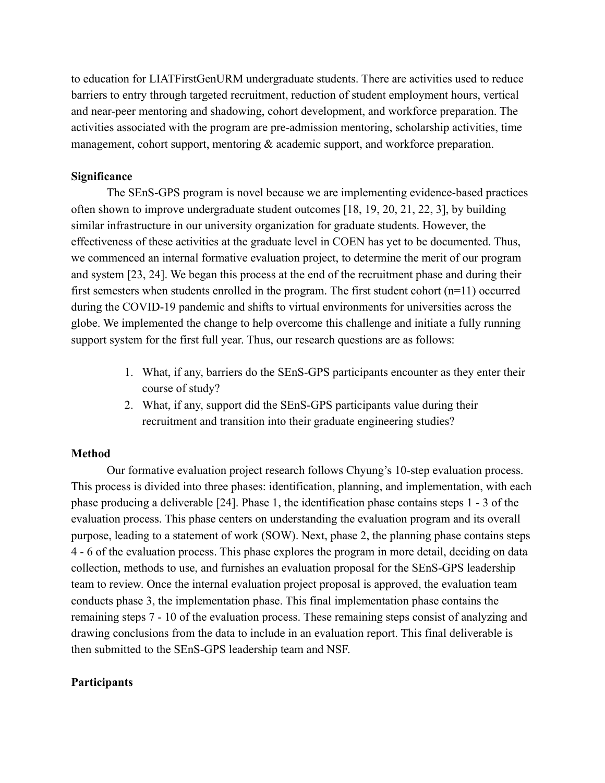to education for LIATFirstGenURM undergraduate students. There are activities used to reduce barriers to entry through targeted recruitment, reduction of student employment hours, vertical and near-peer mentoring and shadowing, cohort development, and workforce preparation. The activities associated with the program are pre-admission mentoring, scholarship activities, time management, cohort support, mentoring & academic support, and workforce preparation.

# **Significance**

The SEnS-GPS program is novel because we are implementing evidence-based practices often shown to improve undergraduate student outcomes [18, 19, 20, 21, 22, 3], by building similar infrastructure in our university organization for graduate students. However, the effectiveness of these activities at the graduate level in COEN has yet to be documented. Thus, we commenced an internal formative evaluation project, to determine the merit of our program and system [23, 24]. We began this process at the end of the recruitment phase and during their first semesters when students enrolled in the program. The first student cohort  $(n=11)$  occurred during the COVID-19 pandemic and shifts to virtual environments for universities across the globe. We implemented the change to help overcome this challenge and initiate a fully running support system for the first full year. Thus, our research questions are as follows:

- 1. What, if any, barriers do the SEnS-GPS participants encounter as they enter their course of study?
- 2. What, if any, support did the SEnS-GPS participants value during their recruitment and transition into their graduate engineering studies?

# **Method**

Our formative evaluation project research follows Chyung's 10-step evaluation process. This process is divided into three phases: identification, planning, and implementation, with each phase producing a deliverable [24]. Phase 1, the identification phase contains steps 1 - 3 of the evaluation process. This phase centers on understanding the evaluation program and its overall purpose, leading to a statement of work (SOW). Next, phase 2, the planning phase contains steps 4 - 6 of the evaluation process. This phase explores the program in more detail, deciding on data collection, methods to use, and furnishes an evaluation proposal for the SEnS-GPS leadership team to review. Once the internal evaluation project proposal is approved, the evaluation team conducts phase 3, the implementation phase. This final implementation phase contains the remaining steps 7 - 10 of the evaluation process. These remaining steps consist of analyzing and drawing conclusions from the data to include in an evaluation report. This final deliverable is then submitted to the SEnS-GPS leadership team and NSF.

# **Participants**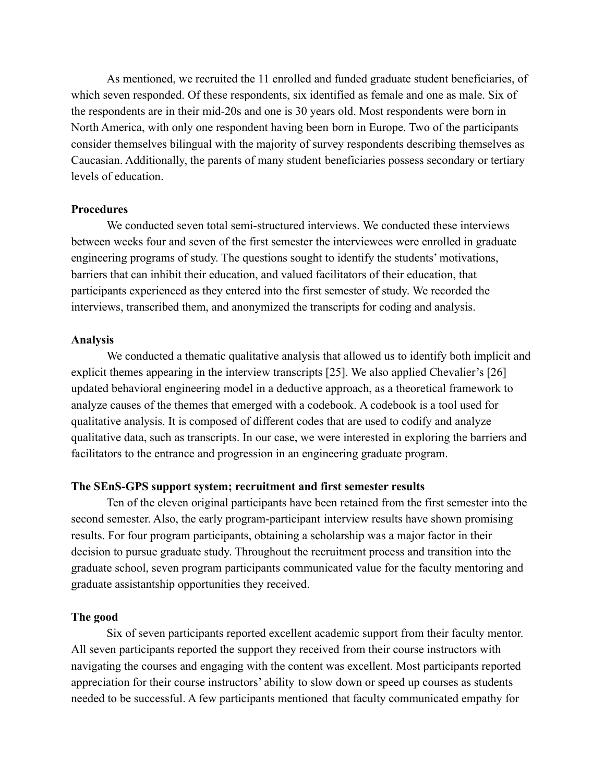As mentioned, we recruited the 11 enrolled and funded graduate student beneficiaries, of which seven responded. Of these respondents, six identified as female and one as male. Six of the respondents are in their mid-20s and one is 30 years old. Most respondents were born in North America, with only one respondent having been born in Europe. Two of the participants consider themselves bilingual with the majority of survey respondents describing themselves as Caucasian. Additionally, the parents of many student beneficiaries possess secondary or tertiary levels of education.

#### **Procedures**

We conducted seven total semi-structured interviews. We conducted these interviews between weeks four and seven of the first semester the interviewees were enrolled in graduate engineering programs of study. The questions sought to identify the students' motivations, barriers that can inhibit their education, and valued facilitators of their education, that participants experienced as they entered into the first semester of study. We recorded the interviews, transcribed them, and anonymized the transcripts for coding and analysis.

## **Analysis**

We conducted a thematic qualitative analysis that allowed us to identify both implicit and explicit themes appearing in the interview transcripts [25]. We also applied Chevalier's [26] updated behavioral engineering model in a deductive approach, as a theoretical framework to analyze causes of the themes that emerged with a codebook. A codebook is a tool used for qualitative analysis. It is composed of different codes that are used to codify and analyze qualitative data, such as transcripts. In our case, we were interested in exploring the barriers and facilitators to the entrance and progression in an engineering graduate program.

## **The SEnS-GPS support system; recruitment and first semester results**

Ten of the eleven original participants have been retained from the first semester into the second semester. Also, the early program-participant interview results have shown promising results. For four program participants, obtaining a scholarship was a major factor in their decision to pursue graduate study. Throughout the recruitment process and transition into the graduate school, seven program participants communicated value for the faculty mentoring and graduate assistantship opportunities they received.

#### **The good**

Six of seven participants reported excellent academic support from their faculty mentor. All seven participants reported the support they received from their course instructors with navigating the courses and engaging with the content was excellent. Most participants reported appreciation for their course instructors' ability to slow down or speed up courses as students needed to be successful. A few participants mentioned that faculty communicated empathy for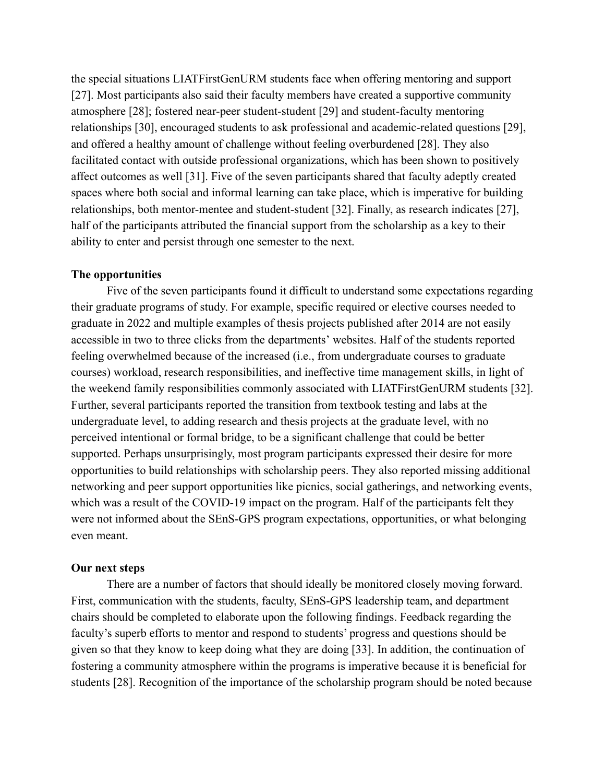the special situations LIATFirstGenURM students face when offering mentoring and support [27]. Most participants also said their faculty members have created a supportive community atmosphere [28]; fostered near-peer student-student [29] and student-faculty mentoring relationships [30], encouraged students to ask professional and academic-related questions [29], and offered a healthy amount of challenge without feeling overburdened [28]. They also facilitated contact with outside professional organizations, which has been shown to positively affect outcomes as well [31]. Five of the seven participants shared that faculty adeptly created spaces where both social and informal learning can take place, which is imperative for building relationships, both mentor-mentee and student-student [32]. Finally, as research indicates [27], half of the participants attributed the financial support from the scholarship as a key to their ability to enter and persist through one semester to the next.

# **The opportunities**

Five of the seven participants found it difficult to understand some expectations regarding their graduate programs of study. For example, specific required or elective courses needed to graduate in 2022 and multiple examples of thesis projects published after 2014 are not easily accessible in two to three clicks from the departments' websites. Half of the students reported feeling overwhelmed because of the increased (i.e., from undergraduate courses to graduate courses) workload, research responsibilities, and ineffective time management skills, in light of the weekend family responsibilities commonly associated with LIATFirstGenURM students [32]. Further, several participants reported the transition from textbook testing and labs at the undergraduate level, to adding research and thesis projects at the graduate level, with no perceived intentional or formal bridge, to be a significant challenge that could be better supported. Perhaps unsurprisingly, most program participants expressed their desire for more opportunities to build relationships with scholarship peers. They also reported missing additional networking and peer support opportunities like picnics, social gatherings, and networking events, which was a result of the COVID-19 impact on the program. Half of the participants felt they were not informed about the SEnS-GPS program expectations, opportunities, or what belonging even meant.

# **Our next steps**

There are a number of factors that should ideally be monitored closely moving forward. First, communication with the students, faculty, SEnS-GPS leadership team, and department chairs should be completed to elaborate upon the following findings. Feedback regarding the faculty's superb efforts to mentor and respond to students' progress and questions should be given so that they know to keep doing what they are doing [33]. In addition, the continuation of fostering a community atmosphere within the programs is imperative because it is beneficial for students [28]. Recognition of the importance of the scholarship program should be noted because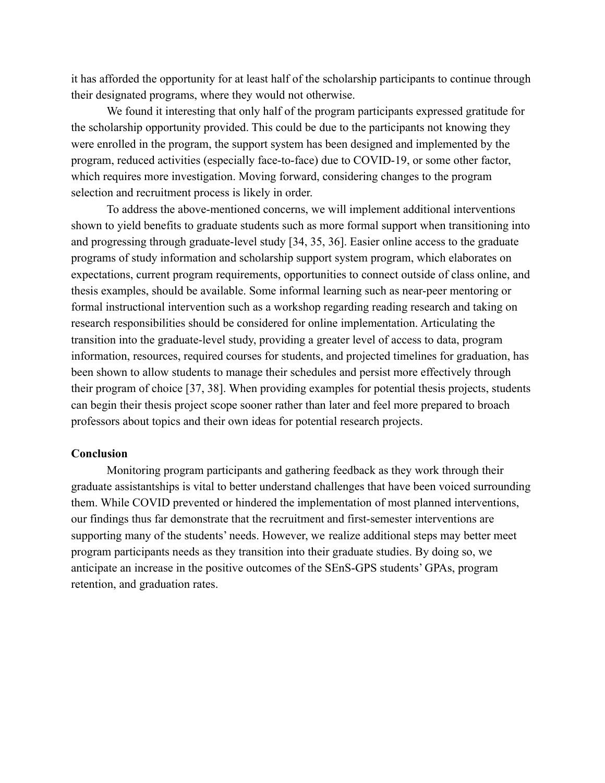it has afforded the opportunity for at least half of the scholarship participants to continue through their designated programs, where they would not otherwise.

We found it interesting that only half of the program participants expressed gratitude for the scholarship opportunity provided. This could be due to the participants not knowing they were enrolled in the program, the support system has been designed and implemented by the program, reduced activities (especially face-to-face) due to COVID-19, or some other factor, which requires more investigation. Moving forward, considering changes to the program selection and recruitment process is likely in order.

To address the above-mentioned concerns, we will implement additional interventions shown to yield benefits to graduate students such as more formal support when transitioning into and progressing through graduate-level study [34, 35, 36]. Easier online access to the graduate programs of study information and scholarship support system program, which elaborates on expectations, current program requirements, opportunities to connect outside of class online, and thesis examples, should be available. Some informal learning such as near-peer mentoring or formal instructional intervention such as a workshop regarding reading research and taking on research responsibilities should be considered for online implementation. Articulating the transition into the graduate-level study, providing a greater level of access to data, program information, resources, required courses for students, and projected timelines for graduation, has been shown to allow students to manage their schedules and persist more effectively through their program of choice [37, 38]. When providing examples for potential thesis projects, students can begin their thesis project scope sooner rather than later and feel more prepared to broach professors about topics and their own ideas for potential research projects.

## **Conclusion**

Monitoring program participants and gathering feedback as they work through their graduate assistantships is vital to better understand challenges that have been voiced surrounding them. While COVID prevented or hindered the implementation of most planned interventions, our findings thus far demonstrate that the recruitment and first-semester interventions are supporting many of the students' needs. However, we realize additional steps may better meet program participants needs as they transition into their graduate studies. By doing so, we anticipate an increase in the positive outcomes of the SEnS-GPS students' GPAs, program retention, and graduation rates.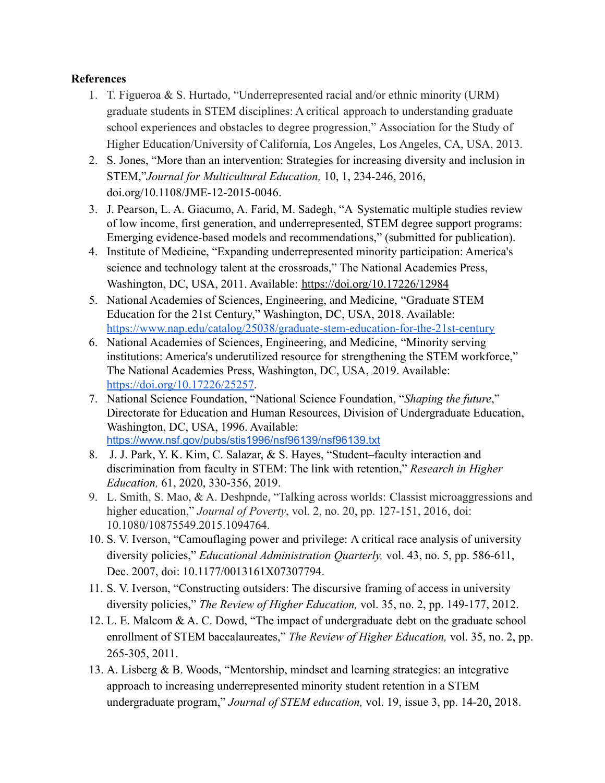# **References**

- 1. T. Figueroa & S. Hurtado, "Underrepresented racial and/or ethnic minority (URM) graduate students in STEM disciplines: A critical approach to understanding graduate school experiences and obstacles to degree progression," Association for the Study of Higher Education/University of California, Los Angeles, Los Angeles, CA, USA, 2013.
- 2. S. Jones, "More than an intervention: Strategies for increasing diversity and inclusion in STEM,"*Journal for Multicultural Education,* 10, 1, 234-246, 2016, doi.org/10.1108/JME-12-2015-0046.
- 3. J. Pearson, L. A. Giacumo, A. Farid, M. Sadegh, "A Systematic multiple studies review of low income, first generation, and underrepresented, STEM degree support programs: Emerging evidence-based models and recommendations," (submitted for publication).
- 4. Institute of Medicine, "Expanding underrepresented minority participation: America's science and technology talent at the crossroads," The National Academies Press, Washington, DC, USA, 2011. Available: <https://doi.org/10.17226/12984>
- 5. National Academies of Sciences, Engineering, and Medicine, "Graduate STEM Education for the 21st Century," Washington, DC, USA, 2018. Available: <https://www.nap.edu/catalog/25038/graduate-stem-education-for-the-21st-century>
- 6. National Academies of Sciences, Engineering, and Medicine, "Minority serving institutions: America's underutilized resource for strengthening the STEM workforce," The National Academies Press, Washington, DC, USA, 2019. Available: <https://doi.org/10.17226/25257>.
- 7. National Science Foundation, "National Science Foundation, "*Shaping the future*," Directorate for Education and Human Resources, Division of Undergraduate Education, Washington, DC, USA, 1996. Available: <https://www.nsf.gov/pubs/stis1996/nsf96139/nsf96139.txt>
- 8. J. J. Park, Y. K. Kim, C. Salazar, & S. Hayes, "Student–faculty interaction and discrimination from faculty in STEM: The link with retention," *Research in Higher Education,* 61, 2020, 330-356, 2019.
- 9. L. Smith, S. Mao, & A. Deshpnde, "Talking across worlds: Classist microaggressions and higher education," *Journal of Poverty*, vol. 2, no. 20, pp. 127-151, 2016, doi: 10.1080/10875549.2015.1094764.
- 10. S. V. Iverson, "Camouflaging power and privilege: A critical race analysis of university diversity policies," *Educational Administration Quarterly,* vol. 43, no. 5, pp. 586-611, Dec. 2007, doi: 10.1177/0013161X07307794.
- 11. S. V. Iverson, "Constructing outsiders: The discursive framing of access in university diversity policies," *The Review of Higher Education,* vol. 35, no. 2, pp. 149-177, 2012.
- 12. L. E. Malcom & A. C. Dowd, "The impact of undergraduate debt on the graduate school enrollment of STEM baccalaureates," *The Review of Higher Education,* vol. 35, no. 2, pp. 265-305, 2011.
- 13. A. Lisberg & B. Woods, "Mentorship, mindset and learning strategies: an integrative approach to increasing underrepresented minority student retention in a STEM undergraduate program," *Journal of STEM education,* vol. 19, issue 3, pp. 14-20, 2018.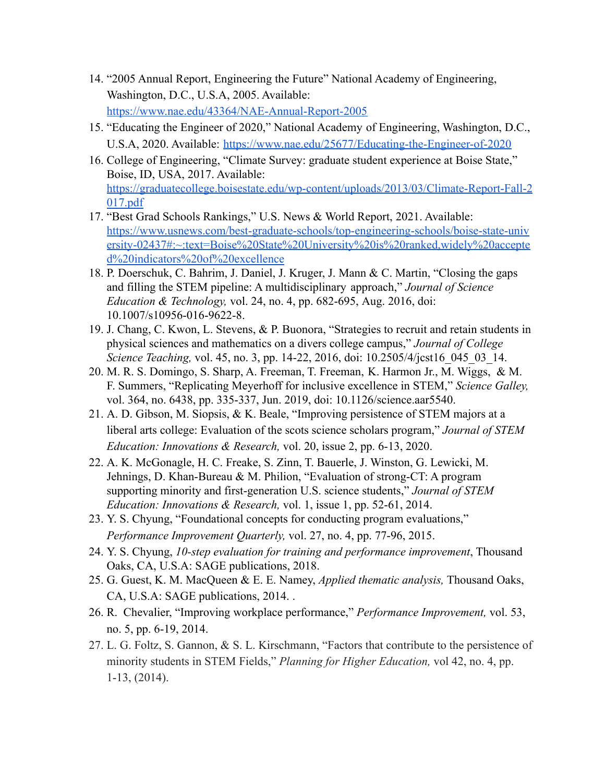- 14. "2005 Annual Report, Engineering the Future" National Academy of Engineering, Washington, D.C., U.S.A, 2005. Available: <https://www.nae.edu/43364/NAE-Annual-Report-2005>
- 15. "Educating the Engineer of 2020," National Academy of Engineering, Washington, D.C., U.S.A, 2020. Available: <https://www.nae.edu/25677/Educating-the-Engineer-of-2020>
- 16. College of Engineering, "Climate Survey: graduate student experience at Boise State," Boise, ID, USA, 2017. Available: [https://graduatecollege.boisestate.edu/wp-content/uploads/2013/03/Climate-Report-Fall-2](https://graduatecollege.boisestate.edu/wp-content/uploads/2013/03/Climate-Report-Fall-2017.pdf) [017.pdf](https://graduatecollege.boisestate.edu/wp-content/uploads/2013/03/Climate-Report-Fall-2017.pdf)
- 17. "Best Grad Schools Rankings," U.S. News & World Report, 2021. Available: [https://www.usnews.com/best-graduate-schools/top-engineering-schools/boise-state-univ](https://www.usnews.com/best-graduate-schools/top-engineering-schools/boise-state-university-02437#:~:text=Boise%20State%20University%20is%20ranked,widely%20accepted%20indicators%20of%20excellence) [ersity-02437#:~:text=Boise%20State%20University%20is%20ranked,widely%20accepte](https://www.usnews.com/best-graduate-schools/top-engineering-schools/boise-state-university-02437#:~:text=Boise%20State%20University%20is%20ranked,widely%20accepted%20indicators%20of%20excellence) [d%20indicators%20of%20excellence](https://www.usnews.com/best-graduate-schools/top-engineering-schools/boise-state-university-02437#:~:text=Boise%20State%20University%20is%20ranked,widely%20accepted%20indicators%20of%20excellence)
- 18. P. Doerschuk, C. Bahrim, J. Daniel, J. Kruger, J. Mann & C. Martin, "Closing the gaps and filling the STEM pipeline: A multidisciplinary approach," *Journal of Science Education & Technology,* vol. 24, no. 4, pp. 682-695, Aug. 2016, doi: 10.1007/s10956-016-9622-8.
- 19. J. Chang, C. Kwon, L. Stevens, & P. Buonora, "Strategies to recruit and retain students in physical sciences and mathematics on a divers college campus," *Journal of College Science Teaching, vol.* 45, no. 3, pp. 14-22, 2016, doi: 10.2505/4/jcst16 045 03 14.
- 20. M. R. S. Domingo, S. Sharp, A. Freeman, T. Freeman, K. Harmon Jr., M. Wiggs, & M. F. Summers, "Replicating Meyerhoff for inclusive excellence in STEM," *Science Galley,* vol. 364, no. 6438, pp. 335-337, Jun. 2019, doi: 10.1126/science.aar5540.
- 21. A. D. Gibson, M. Siopsis, & K. Beale, "Improving persistence of STEM majors at a liberal arts college: Evaluation of the scots science scholars program," *Journal of STEM Education: Innovations & Research,* vol. 20, issue 2, pp. 6-13, 2020.
- 22. A. K. McGonagle, H. C. Freake, S. Zinn, T. Bauerle, J. Winston, G. Lewicki, M. Jehnings, D. Khan-Bureau & M. Philion, "Evaluation of strong-CT: A program supporting minority and first-generation U.S. science students," *Journal of STEM Education: Innovations & Research,* vol. 1, issue 1, pp. 52-61, 2014.
- 23. Y. S. Chyung, "Foundational concepts for conducting program evaluations," *Performance Improvement Quarterly,* vol. 27, no. 4, pp. 77-96, 2015.
- 24. Y. S. Chyung, *10-step evaluation for training and performance improvement*, Thousand Oaks, CA, U.S.A: SAGE publications, 2018.
- 25. G. Guest, K. M. MacQueen & E. E. Namey, *Applied thematic analysis,* Thousand Oaks, CA, U.S.A: SAGE publications, 2014. .
- 26. R. Chevalier, "Improving workplace performance," *Performance Improvement,* vol. 53, no. 5, pp. 6-19, 2014.
- 27. L. G. Foltz, S. Gannon, & S. L. Kirschmann, "Factors that contribute to the persistence of minority students in STEM Fields," *Planning for Higher Education,* vol 42, no. 4, pp. 1-13, (2014).